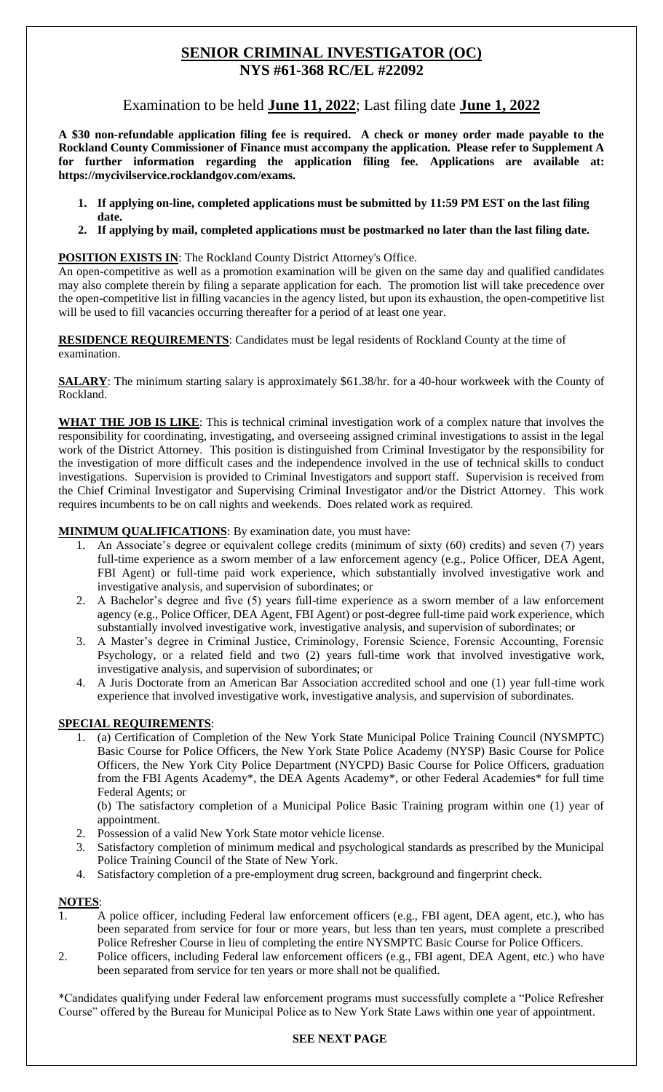# **SENIOR CRIMINAL INVESTIGATOR (OC) NYS #61-368 RC/EL #22092**

Examination to be held **June 11, 2022**; Last filing date **June 1, 2022**

**A \$30 non-refundable application filing fee is required. A check or money order made payable to the Rockland County Commissioner of Finance must accompany the application. Please refer to Supplement A for further information regarding the application filing fee. Applications are available at: https://mycivilservice.rocklandgov.com/exams.**

- **1. If applying on-line, completed applications must be submitted by 11:59 PM EST on the last filing date.**
- **2. If applying by mail, completed applications must be postmarked no later than the last filing date.**

## **POSITION EXISTS IN:** The Rockland County District Attorney's Office.

An open-competitive as well as a promotion examination will be given on the same day and qualified candidates may also complete therein by filing a separate application for each. The promotion list will take precedence over the open-competitive list in filling vacancies in the agency listed, but upon its exhaustion, the open-competitive list will be used to fill vacancies occurring thereafter for a period of at least one year.

**RESIDENCE REQUIREMENTS:** Candidates must be legal residents of Rockland County at the time of examination.

**SALARY**: The minimum starting salary is approximately \$61.38/hr. for a 40-hour workweek with the County of Rockland.

**WHAT THE JOB IS LIKE**: This is technical criminal investigation work of a complex nature that involves the responsibility for coordinating, investigating, and overseeing assigned criminal investigations to assist in the legal work of the District Attorney. This position is distinguished from Criminal Investigator by the responsibility for the investigation of more difficult cases and the independence involved in the use of technical skills to conduct investigations. Supervision is provided to Criminal Investigators and support staff. Supervision is received from the Chief Criminal Investigator and Supervising Criminal Investigator and/or the District Attorney. This work requires incumbents to be on call nights and weekends. Does related work as required.

## **MINIMUM QUALIFICATIONS**: By examination date, you must have:

- 1. An Associate's degree or equivalent college credits (minimum of sixty (60) credits) and seven (7) years full-time experience as a sworn member of a law enforcement agency (e.g., Police Officer, DEA Agent, FBI Agent) or full-time paid work experience, which substantially involved investigative work and investigative analysis, and supervision of subordinates; or
- 2. A Bachelor's degree and five (5) years full-time experience as a sworn member of a law enforcement agency (e.g., Police Officer, DEA Agent, FBI Agent) or post-degree full-time paid work experience, which substantially involved investigative work, investigative analysis, and supervision of subordinates; or
- 3. A Master's degree in Criminal Justice, Criminology, Forensic Science, Forensic Accounting, Forensic Psychology, or a related field and two (2) years full-time work that involved investigative work, investigative analysis, and supervision of subordinates; or
- 4. A Juris Doctorate from an American Bar Association accredited school and one (1) year full-time work experience that involved investigative work, investigative analysis, and supervision of subordinates.

## **SPECIAL REQUIREMENTS**:

 1. (a) Certification of Completion of the New York State Municipal Police Training Council (NYSMPTC) Basic Course for Police Officers, the New York State Police Academy (NYSP) Basic Course for Police Officers, the New York City Police Department (NYCPD) Basic Course for Police Officers, graduation from the FBI Agents Academy\*, the DEA Agents Academy\*, or other Federal Academies\* for full time Federal Agents; or

(b) The satisfactory completion of a Municipal Police Basic Training program within one (1) year of appointment.

- 2. Possession of a valid New York State motor vehicle license.
- 3. Satisfactory completion of minimum medical and psychological standards as prescribed by the Municipal Police Training Council of the State of New York.
- 4. Satisfactory completion of a pre-employment drug screen, background and fingerprint check.

## **NOTES**:

- 1. A police officer, including Federal law enforcement officers (e.g., FBI agent, DEA agent, etc.), who has been separated from service for four or more years, but less than ten years, must complete a prescribed Police Refresher Course in lieu of completing the entire NYSMPTC Basic Course for Police Officers.
- 2. Police officers, including Federal law enforcement officers (e.g., FBI agent, DEA Agent, etc.) who have been separated from service for ten years or more shall not be qualified.

\*Candidates qualifying under Federal law enforcement programs must successfully complete a "Police Refresher Course" offered by the Bureau for Municipal Police as to New York State Laws within one year of appointment.

## **SEE NEXT PAGE**